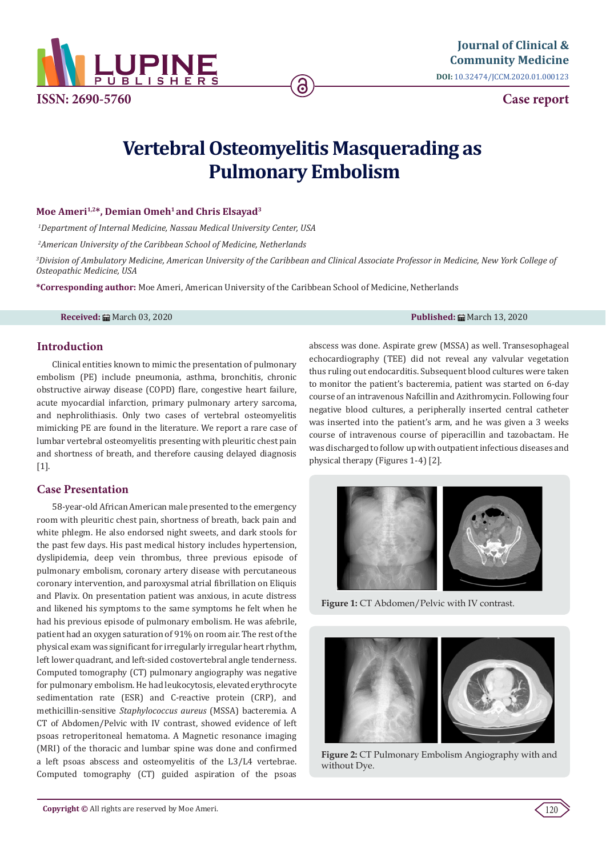

**Case report**

# **Vertebral Osteomyelitis Masquerading as Pulmonary Embolism**

## Moe Ameri<sup>1,2\*</sup>, Demian Omeh<sup>1</sup> and Chris Elsayad<sup>3</sup>

*1 Department of Internal Medicine, Nassau Medical University Center, USA* 

*2 American University of the Caribbean School of Medicine, Netherlands*

*3 Division of Ambulatory Medicine, American University of the Caribbean and Clinical Associate Professor in Medicine, New York College of Osteopathic Medicine, USA*

**\*Corresponding author:** Moe Ameri, American University of the Caribbean School of Medicine, Netherlands

**Received:** March 03, 2020 **Published:** March 13, 2020

# **Introduction**

Clinical entities known to mimic the presentation of pulmonary embolism (PE) include pneumonia, asthma, bronchitis, chronic obstructive airway disease (COPD) flare, congestive heart failure, acute myocardial infarction, primary pulmonary artery sarcoma, and nephrolithiasis. Only two cases of vertebral osteomyelitis mimicking PE are found in the literature. We report a rare case of lumbar vertebral osteomyelitis presenting with pleuritic chest pain and shortness of breath, and therefore causing delayed diagnosis [1].

# **Case Presentation**

58-year-old African American male presented to the emergency room with pleuritic chest pain, shortness of breath, back pain and white phlegm. He also endorsed night sweets, and dark stools for the past few days. His past medical history includes hypertension, dyslipidemia, deep vein thrombus, three previous episode of pulmonary embolism, coronary artery disease with percutaneous coronary intervention, and paroxysmal atrial fibrillation on Eliquis and Plavix. On presentation patient was anxious, in acute distress and likened his symptoms to the same symptoms he felt when he had his previous episode of pulmonary embolism. He was afebrile, patient had an oxygen saturation of 91% on room air. The rest of the physical exam was significant for irregularly irregular heart rhythm, left lower quadrant, and left-sided costovertebral angle tenderness. Computed tomography (CT) pulmonary angiography was negative for pulmonary embolism. He had leukocytosis, elevated erythrocyte sedimentation rate (ESR) and C-reactive protein (CRP), and methicillin-sensitive *Staphylococcus aureus* (MSSA) bacteremia. A CT of Abdomen/Pelvic with IV contrast, showed evidence of left psoas retroperitoneal hematoma. A Magnetic resonance imaging (MRI) of the thoracic and lumbar spine was done and confirmed a left psoas abscess and osteomyelitis of the L3/L4 vertebrae. Computed tomography (CT) guided aspiration of the psoas abscess was done. Aspirate grew (MSSA) as well. Transesophageal echocardiography (TEE) did not reveal any valvular vegetation thus ruling out endocarditis. Subsequent blood cultures were taken to monitor the patient's bacteremia, patient was started on 6-day course of an intravenous Nafcillin and Azithromycin. Following four negative blood cultures, a peripherally inserted central catheter was inserted into the patient's arm, and he was given a 3 weeks course of intravenous course of piperacillin and tazobactam. He was discharged to follow up with outpatient infectious diseases and physical therapy (Figures 1-4) [2].



**Figure 1:** CT Abdomen/Pelvic with IV contrast.



**Figure 2:** CT Pulmonary Embolism Angiography with and without Dye.